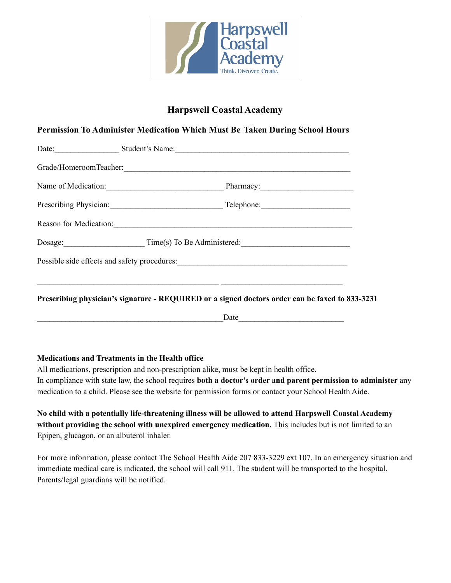

# **Harpswell Coastal Academy**

## **Permission To Administer Medication Which Must Be Taken During School Hours**

|                                     | Date: Student's Name: Student's Name:                                                           |  |
|-------------------------------------|-------------------------------------------------------------------------------------------------|--|
|                                     |                                                                                                 |  |
|                                     | Name of Medication: Pharmacy: Pharmacy:                                                         |  |
|                                     | Prescribing Physician: Telephone: Telephone:                                                    |  |
|                                     |                                                                                                 |  |
| Dosage: Time(s) To Be Administered: |                                                                                                 |  |
|                                     |                                                                                                 |  |
|                                     |                                                                                                 |  |
|                                     | Prescribing physician's signature - REQUIRED or a signed doctors order can be faxed to 833-3231 |  |
|                                     |                                                                                                 |  |

### **Medications and Treatments in the Health office**

All medications, prescription and non-prescription alike, must be kept in health office. In compliance with state law, the school requires **both a doctor's order and parent permission to administer** any medication to a child. Please see the website for permission forms or contact your School Health Aide.

**No child with a potentially life-threatening illness will be allowed to attend Harpswell Coastal Academy without providing the school with unexpired emergency medication.** This includes but is not limited to an Epipen, glucagon, or an albuterol inhaler.

For more information, please contact The School Health Aide 207 833-3229 ext 107. In an emergency situation and immediate medical care is indicated, the school will call 911. The student will be transported to the hospital. Parents/legal guardians will be notified.